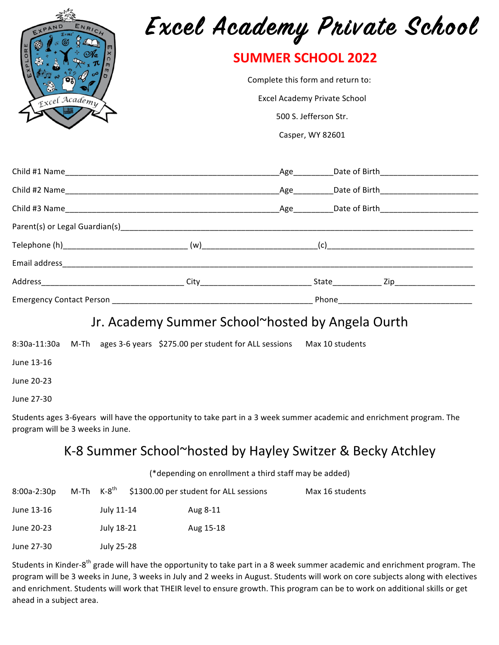| ENRICH<br>Excel Academy | Excel Academy Private School                                   |  |  |  |  |
|-------------------------|----------------------------------------------------------------|--|--|--|--|
|                         | <b>SUMMER SCHOOL 2022</b><br>Complete this form and return to: |  |  |  |  |
|                         |                                                                |  |  |  |  |
|                         | 500 S. Jefferson Str.                                          |  |  |  |  |
|                         | Casper, WY 82601                                               |  |  |  |  |
|                         |                                                                |  |  |  |  |
|                         |                                                                |  |  |  |  |
|                         |                                                                |  |  |  |  |
|                         |                                                                |  |  |  |  |
|                         |                                                                |  |  |  |  |
|                         |                                                                |  |  |  |  |
|                         |                                                                |  |  |  |  |
|                         |                                                                |  |  |  |  |
|                         |                                                                |  |  |  |  |
|                         | Jr. Academy Summer School~hosted by Angela Ourth               |  |  |  |  |

8:30a-11:30a M-Th ages 3-6 years \$275.00 per student for ALL sessions Max 10 students

June 13-16

June 20-23

June 27-30

Students ages 3-6years will have the opportunity to take part in a 3 week summer academic and enrichment program. The program will be 3 weeks in June.

## K-8 Summer School~hosted by Hayley Switzer & Becky Atchley

(\*depending on enrollment a third staff may be added)

| 8:00a-2:30p |            | M-Th $K-8^{th}$ \$1300.00 per student for ALL sessions | Max 16 students |
|-------------|------------|--------------------------------------------------------|-----------------|
| June 13-16  | July 11-14 | Aug 8-11                                               |                 |
| June 20-23  | July 18-21 | Aug 15-18                                              |                 |
| June 27-30  | July 25-28 |                                                        |                 |

Students in Kinder-8<sup>th</sup> grade will have the opportunity to take part in a 8 week summer academic and enrichment program. The program will be 3 weeks in June, 3 weeks in July and 2 weeks in August. Students will work on core subjects along with electives and enrichment. Students will work that THEIR level to ensure growth. This program can be to work on additional skills or get ahead in a subject area.